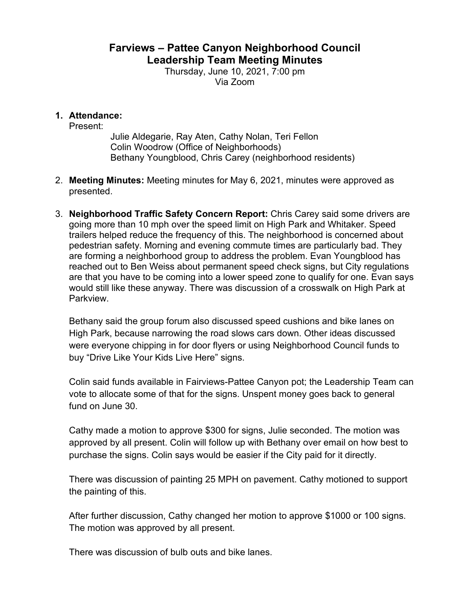## **Farviews – Pattee Canyon Neighborhood Council Leadership Team Meeting Minutes**

Thursday, June 10, 2021, 7:00 pm Via Zoom

## **1. Attendance:**

Present:

Julie Aldegarie, Ray Aten, Cathy Nolan, Teri Fellon Colin Woodrow (Office of Neighborhoods) Bethany Youngblood, Chris Carey (neighborhood residents)

- 2. **Meeting Minutes:** Meeting minutes for May 6, 2021, minutes were approved as presented.
- 3. **Neighborhood Traffic Safety Concern Report:** Chris Carey said some drivers are going more than 10 mph over the speed limit on High Park and Whitaker. Speed trailers helped reduce the frequency of this. The neighborhood is concerned about pedestrian safety. Morning and evening commute times are particularly bad. They are forming a neighborhood group to address the problem. Evan Youngblood has reached out to Ben Weiss about permanent speed check signs, but City regulations are that you have to be coming into a lower speed zone to qualify for one. Evan says would still like these anyway. There was discussion of a crosswalk on High Park at Parkview.

Bethany said the group forum also discussed speed cushions and bike lanes on High Park, because narrowing the road slows cars down. Other ideas discussed were everyone chipping in for door flyers or using Neighborhood Council funds to buy "Drive Like Your Kids Live Here" signs.

Colin said funds available in Fairviews-Pattee Canyon pot; the Leadership Team can vote to allocate some of that for the signs. Unspent money goes back to general fund on June 30.

Cathy made a motion to approve \$300 for signs, Julie seconded. The motion was approved by all present. Colin will follow up with Bethany over email on how best to purchase the signs. Colin says would be easier if the City paid for it directly.

There was discussion of painting 25 MPH on pavement. Cathy motioned to support the painting of this.

After further discussion, Cathy changed her motion to approve \$1000 or 100 signs. The motion was approved by all present.

There was discussion of bulb outs and bike lanes.